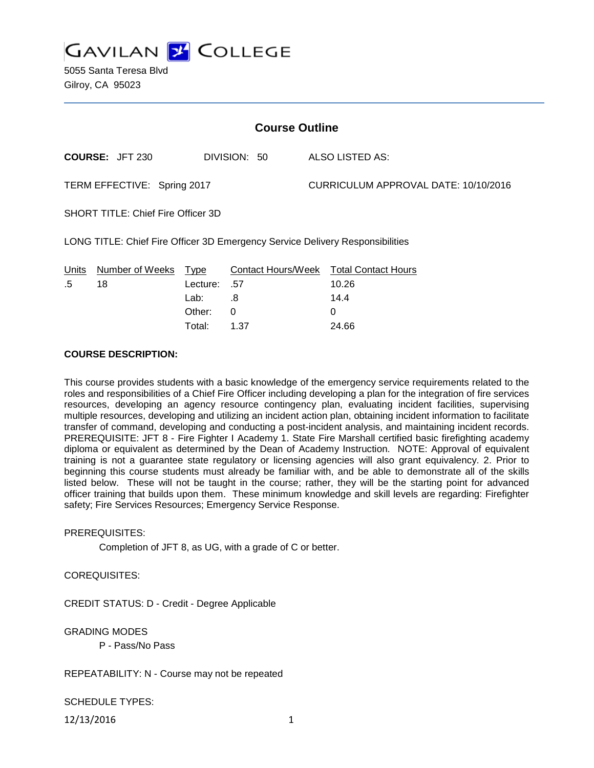

5055 Santa Teresa Blvd Gilroy, CA 95023

| <b>Course Outline</b>                                                         |                        |          |              |  |                                        |  |
|-------------------------------------------------------------------------------|------------------------|----------|--------------|--|----------------------------------------|--|
|                                                                               | <b>COURSE: JFT 230</b> |          | DIVISION: 50 |  | ALSO LISTED AS:                        |  |
| TERM EFFECTIVE: Spring 2017                                                   |                        |          |              |  | CURRICULUM APPROVAL DATE: 10/10/2016   |  |
| <b>SHORT TITLE: Chief Fire Officer 3D</b>                                     |                        |          |              |  |                                        |  |
| LONG TITLE: Chief Fire Officer 3D Emergency Service Delivery Responsibilities |                        |          |              |  |                                        |  |
| Units                                                                         | Number of Weeks        | Type     |              |  | Contact Hours/Week Total Contact Hours |  |
| .5                                                                            | 18                     | Lecture: | .57          |  | 10.26                                  |  |
|                                                                               |                        | Lab:     | .8           |  | 14.4                                   |  |
|                                                                               |                        | Other:   | 0            |  | 0                                      |  |

Total: 1.37 24.66

#### **COURSE DESCRIPTION:**

This course provides students with a basic knowledge of the emergency service requirements related to the roles and responsibilities of a Chief Fire Officer including developing a plan for the integration of fire services resources, developing an agency resource contingency plan, evaluating incident facilities, supervising multiple resources, developing and utilizing an incident action plan, obtaining incident information to facilitate transfer of command, developing and conducting a post-incident analysis, and maintaining incident records. PREREQUISITE: JFT 8 - Fire Fighter I Academy 1. State Fire Marshall certified basic firefighting academy diploma or equivalent as determined by the Dean of Academy Instruction. NOTE: Approval of equivalent training is not a guarantee state regulatory or licensing agencies will also grant equivalency. 2. Prior to beginning this course students must already be familiar with, and be able to demonstrate all of the skills listed below. These will not be taught in the course; rather, they will be the starting point for advanced officer training that builds upon them. These minimum knowledge and skill levels are regarding: Firefighter safety; Fire Services Resources; Emergency Service Response.

#### PREREQUISITES:

Completion of JFT 8, as UG, with a grade of C or better.

#### COREQUISITES:

CREDIT STATUS: D - Credit - Degree Applicable

#### GRADING MODES

P - Pass/No Pass

#### REPEATABILITY: N - Course may not be repeated

SCHEDULE TYPES:

12/13/2016 1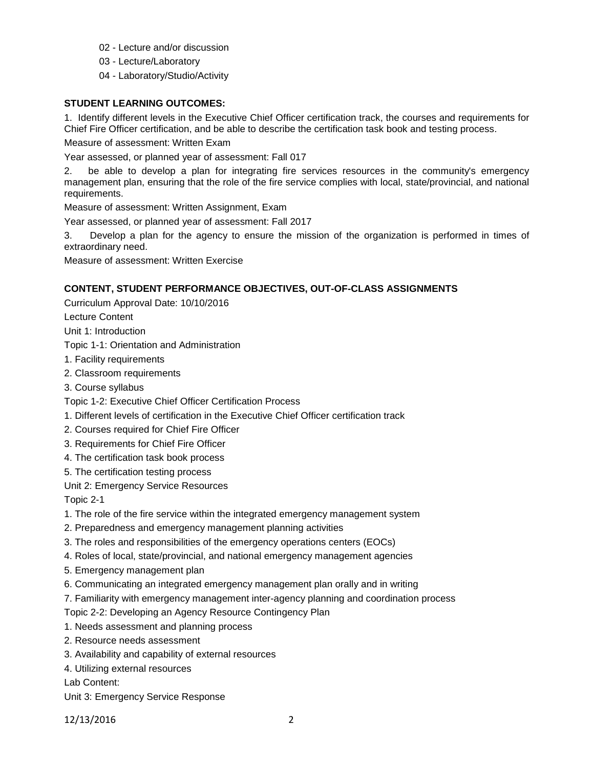- 02 Lecture and/or discussion
- 03 Lecture/Laboratory
- 04 Laboratory/Studio/Activity

# **STUDENT LEARNING OUTCOMES:**

1. Identify different levels in the Executive Chief Officer certification track, the courses and requirements for Chief Fire Officer certification, and be able to describe the certification task book and testing process.

Measure of assessment: Written Exam

Year assessed, or planned year of assessment: Fall 017

2. be able to develop a plan for integrating fire services resources in the community's emergency management plan, ensuring that the role of the fire service complies with local, state/provincial, and national requirements.

Measure of assessment: Written Assignment, Exam

Year assessed, or planned year of assessment: Fall 2017

3. Develop a plan for the agency to ensure the mission of the organization is performed in times of extraordinary need.

Measure of assessment: Written Exercise

# **CONTENT, STUDENT PERFORMANCE OBJECTIVES, OUT-OF-CLASS ASSIGNMENTS**

Curriculum Approval Date: 10/10/2016

Lecture Content

Unit 1: Introduction

Topic 1-1: Orientation and Administration

- 1. Facility requirements
- 2. Classroom requirements
- 3. Course syllabus
- Topic 1-2: Executive Chief Officer Certification Process
- 1. Different levels of certification in the Executive Chief Officer certification track
- 2. Courses required for Chief Fire Officer
- 3. Requirements for Chief Fire Officer
- 4. The certification task book process
- 5. The certification testing process

Unit 2: Emergency Service Resources

Topic 2-1

- 1. The role of the fire service within the integrated emergency management system
- 2. Preparedness and emergency management planning activities
- 3. The roles and responsibilities of the emergency operations centers (EOCs)
- 4. Roles of local, state/provincial, and national emergency management agencies
- 5. Emergency management plan
- 6. Communicating an integrated emergency management plan orally and in writing
- 7. Familiarity with emergency management inter-agency planning and coordination process

Topic 2-2: Developing an Agency Resource Contingency Plan

- 1. Needs assessment and planning process
- 2. Resource needs assessment
- 3. Availability and capability of external resources
- 4. Utilizing external resources

Lab Content:

Unit 3: Emergency Service Response

12/13/2016 2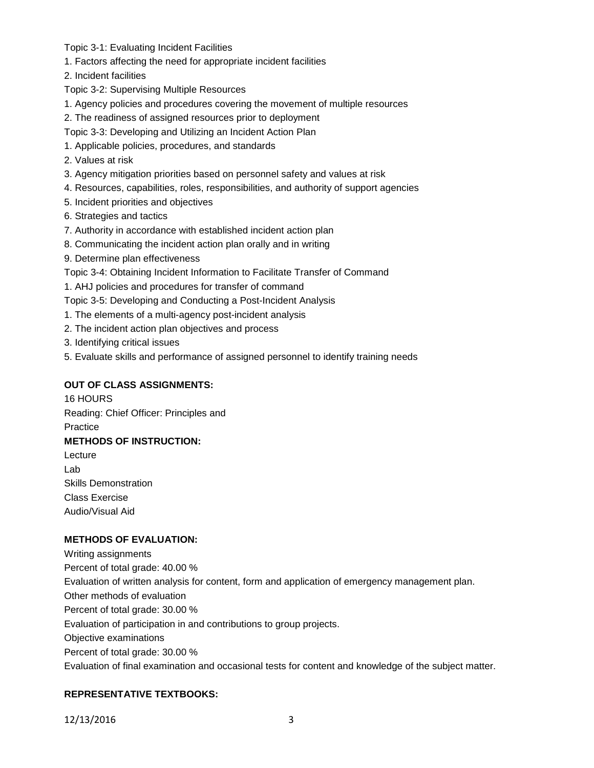Topic 3-1: Evaluating Incident Facilities

1. Factors affecting the need for appropriate incident facilities

2. Incident facilities

- Topic 3-2: Supervising Multiple Resources
- 1. Agency policies and procedures covering the movement of multiple resources
- 2. The readiness of assigned resources prior to deployment
- Topic 3-3: Developing and Utilizing an Incident Action Plan
- 1. Applicable policies, procedures, and standards
- 2. Values at risk
- 3. Agency mitigation priorities based on personnel safety and values at risk
- 4. Resources, capabilities, roles, responsibilities, and authority of support agencies
- 5. Incident priorities and objectives
- 6. Strategies and tactics
- 7. Authority in accordance with established incident action plan
- 8. Communicating the incident action plan orally and in writing
- 9. Determine plan effectiveness
- Topic 3-4: Obtaining Incident Information to Facilitate Transfer of Command

1. AHJ policies and procedures for transfer of command

- Topic 3-5: Developing and Conducting a Post-Incident Analysis
- 1. The elements of a multi-agency post-incident analysis
- 2. The incident action plan objectives and process
- 3. Identifying critical issues
- 5. Evaluate skills and performance of assigned personnel to identify training needs

# **OUT OF CLASS ASSIGNMENTS:**

16 HOURS Reading: Chief Officer: Principles and Practice **METHODS OF INSTRUCTION:** Lecture Lab Skills Demonstration

Class Exercise Audio/Visual Aid

# **METHODS OF EVALUATION:**

Writing assignments Percent of total grade: 40.00 % Evaluation of written analysis for content, form and application of emergency management plan. Other methods of evaluation Percent of total grade: 30.00 % Evaluation of participation in and contributions to group projects. Objective examinations Percent of total grade: 30.00 % Evaluation of final examination and occasional tests for content and knowledge of the subject matter.

# **REPRESENTATIVE TEXTBOOKS:**

12/13/2016 3